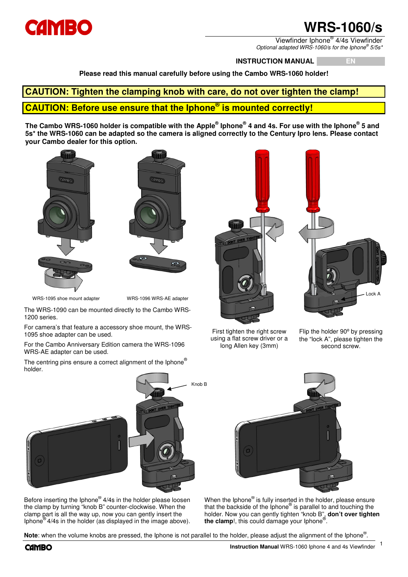

# **WRS-1060/s**

Viewfinder Iphone® 4/4s Viewfinder Optional adapted WRS-1060/s for the Iphone® 5/5s\*

**INSTRUCTION MANUAL EN** 

**Please read this manual carefully before using the Cambo WRS-1060 holder!**

## **CAUTION: Tighten the clamping knob with care, do not over tighten the clamp! CAUTION: Before use ensure that the Iphone® is mounted correctly!**

**The Cambo WRS-1060 holder is compatible with the Apple® Iphone® 4 and 4s. For use with the Iphone® 5 and 5s\* the WRS-1060 can be adapted so the camera is aligned correctly to the Century Ipro lens. Please contact your Cambo dealer for this option.**





WRS-1095 shoe mount adapter WRS-1096 WRS-AE adapter

The WRS-1090 can be mounted directly to the Cambo WRS-1200 series.

For camera's that feature a accessory shoe mount, the WRS-1095 shoe adapter can be used.

For the Cambo Anniversary Edition camera the WRS-1096 WRS-AE adapter can be used.

The centring pins ensure a correct alignment of the Iphone® holder.





First tighten the right screw using a flat screw driver or a long Allen key (3mm)

Flip the holder 90° by pressing the "lock A", please tighten the second screw.



Before inserting the Iphone<sup>®</sup> 4/4s in the holder please loosen the clamp by turning "knob B" counter-clockwise. When the clamp part is all the way up, now you can gently insert the Iphone® 4/4s in the holder (as displayed in the image above).



When the Iphone® is fully inserted in the holder, please ensure that the backside of the Iphone® is parallel to and touching the holder. Now you can gently tighten "knob B", **don't over tighten the clamp**!, this could damage your Iphone® .

Note: when the volume knobs are pressed, the Iphone is not parallel to the holder, please adjust the alignment of the Iphone<sup>®</sup>.